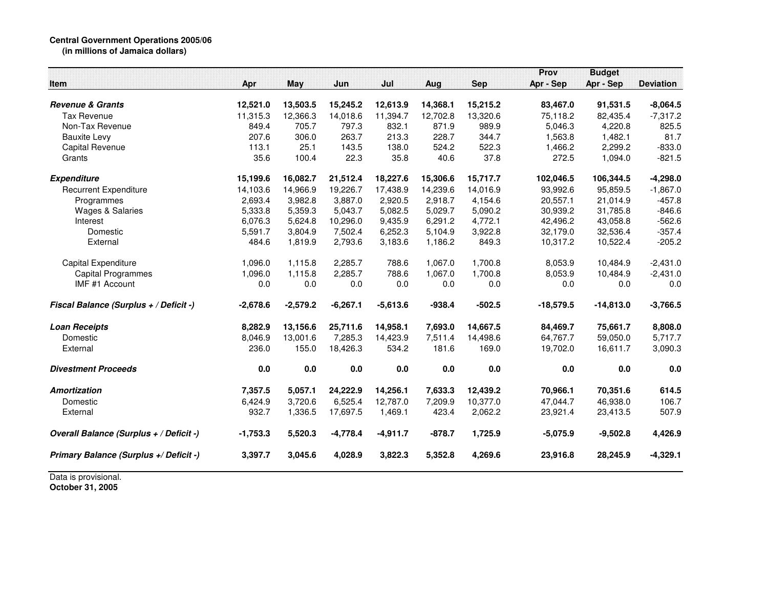## **Central Government Operations 2005/06 (in millions of Jamaica dollars)**

| Item                                    | Apr        | May        | Jun        | Jul        | Aug      | <b>Sep</b> | Prov<br>Apr - Sep | <b>Budget</b><br>Apr - Sep | <b>Deviation</b> |
|-----------------------------------------|------------|------------|------------|------------|----------|------------|-------------------|----------------------------|------------------|
| <b>Revenue &amp; Grants</b>             | 12,521.0   | 13,503.5   | 15,245.2   | 12,613.9   | 14,368.1 | 15,215.2   | 83,467.0          | 91,531.5                   | $-8,064.5$       |
| <b>Tax Revenue</b>                      | 11,315.3   | 12,366.3   | 14,018.6   | 11,394.7   | 12,702.8 | 13,320.6   | 75,118.2          | 82,435.4                   | $-7,317.2$       |
| Non-Tax Revenue                         | 849.4      | 705.7      | 797.3      | 832.1      | 871.9    | 989.9      | 5,046.3           | 4,220.8                    | 825.5            |
| <b>Bauxite Levy</b>                     | 207.6      | 306.0      | 263.7      | 213.3      | 228.7    | 344.7      | 1,563.8           | 1,482.1                    | 81.7             |
| Capital Revenue                         | 113.1      | 25.1       | 143.5      | 138.0      | 524.2    | 522.3      | 1,466.2           | 2,299.2                    | $-833.0$         |
| Grants                                  | 35.6       | 100.4      | 22.3       | 35.8       | 40.6     | 37.8       | 272.5             | 1,094.0                    | $-821.5$         |
| <b>Expenditure</b>                      | 15,199.6   | 16,082.7   | 21,512.4   | 18,227.6   | 15,306.6 | 15,717.7   | 102,046.5         | 106,344.5                  | $-4,298.0$       |
| <b>Recurrent Expenditure</b>            | 14,103.6   | 14,966.9   | 19,226.7   | 17,438.9   | 14,239.6 | 14,016.9   | 93,992.6          | 95,859.5                   | $-1,867.0$       |
| Programmes                              | 2,693.4    | 3,982.8    | 3,887.0    | 2,920.5    | 2,918.7  | 4,154.6    | 20,557.1          | 21,014.9                   | $-457.8$         |
| <b>Wages &amp; Salaries</b>             | 5,333.8    | 5,359.3    | 5,043.7    | 5,082.5    | 5,029.7  | 5,090.2    | 30,939.2          | 31,785.8                   | $-846.6$         |
| Interest                                | 6,076.3    | 5,624.8    | 10,296.0   | 9,435.9    | 6,291.2  | 4,772.1    | 42,496.2          | 43,058.8                   | $-562.6$         |
| Domestic                                | 5,591.7    | 3,804.9    | 7,502.4    | 6,252.3    | 5,104.9  | 3,922.8    | 32,179.0          | 32,536.4                   | $-357.4$         |
| External                                | 484.6      | 1,819.9    | 2,793.6    | 3,183.6    | 1,186.2  | 849.3      | 10,317.2          | 10,522.4                   | $-205.2$         |
| Capital Expenditure                     | 1,096.0    | 1,115.8    | 2,285.7    | 788.6      | 1,067.0  | 1,700.8    | 8,053.9           | 10,484.9                   | $-2,431.0$       |
| <b>Capital Programmes</b>               | 1,096.0    | 1,115.8    | 2,285.7    | 788.6      | 1,067.0  | 1,700.8    | 8,053.9           | 10,484.9                   | $-2,431.0$       |
| IMF #1 Account                          | 0.0        | 0.0        | 0.0        | 0.0        | 0.0      | 0.0        | 0.0               | 0.0                        | 0.0              |
| Fiscal Balance (Surplus + / Deficit -)  | $-2,678.6$ | $-2,579.2$ | $-6,267.1$ | $-5,613.6$ | $-938.4$ | $-502.5$   | $-18,579.5$       | $-14,813.0$                | $-3,766.5$       |
| <b>Loan Receipts</b>                    | 8,282.9    | 13,156.6   | 25,711.6   | 14,958.1   | 7,693.0  | 14,667.5   | 84,469.7          | 75,661.7                   | 8,808.0          |
| Domestic                                | 8,046.9    | 13,001.6   | 7,285.3    | 14,423.9   | 7,511.4  | 14,498.6   | 64,767.7          | 59,050.0                   | 5,717.7          |
| External                                | 236.0      | 155.0      | 18,426.3   | 534.2      | 181.6    | 169.0      | 19,702.0          | 16,611.7                   | 3,090.3          |
| <b>Divestment Proceeds</b>              | 0.0        | $0.0\,$    | 0.0        | 0.0        | 0.0      | 0.0        | 0.0               | 0.0                        | 0.0              |
| <b>Amortization</b>                     | 7,357.5    | 5,057.1    | 24,222.9   | 14,256.1   | 7,633.3  | 12,439.2   | 70,966.1          | 70,351.6                   | 614.5            |
| Domestic                                | 6,424.9    | 3.720.6    | 6,525.4    | 12,787.0   | 7,209.9  | 10,377.0   | 47,044.7          | 46,938.0                   | 106.7            |
| External                                | 932.7      | 1,336.5    | 17,697.5   | 1,469.1    | 423.4    | 2,062.2    | 23,921.4          | 23,413.5                   | 507.9            |
| Overall Balance (Surplus + / Deficit -) | $-1,753.3$ | 5,520.3    | $-4,778.4$ | $-4,911.7$ | $-878.7$ | 1,725.9    | $-5,075.9$        | $-9,502.8$                 | 4,426.9          |
| Primary Balance (Surplus +/ Deficit -)  | 3,397.7    | 3,045.6    | 4,028.9    | 3,822.3    | 5,352.8  | 4,269.6    | 23,916.8          | 28,245.9                   | $-4,329.1$       |

Data is provisional. **October 31, 2005**